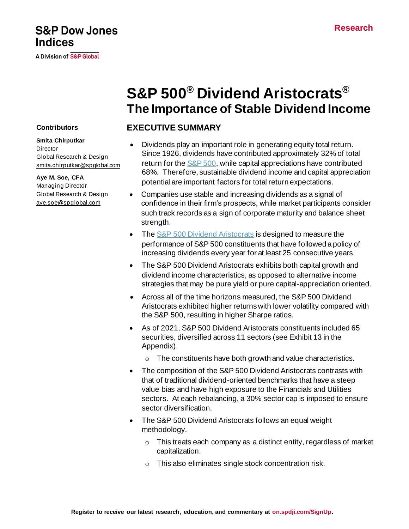# **S&P Dow Jones Indices**

A Division of S&P Global

# **S&P 500® Dividend Aristocrats® The Importance of Stable Dividend Income**

# **EXECUTIVE SUMMARY**

- Dividends play an important role in generating equity total return. Since 1926, dividends have contributed approximately 32% of total return for th[e S&P 500](https://www.spglobal.com/spdji/en/indices/equity/sp-500?utm_source=pdf_research), while capital appreciations have contributed 68%. Therefore, sustainable dividend income and capital appreciation potential are important factors for total return expectations.
- Companies use stable and increasing dividends as a signal of confidence in their firm's prospects, while market participants consider such track records as a sign of corporate maturity and balance sheet strength.
- Th[e S&P 500 Dividend Aristocrats](https://www.spglobal.com/spdji/en/indices/strategy/sp-500-dividend-aristocrats?utm_source=pdf_research) is designed to measure the performance of S&P 500 constituents that have followed a policy of increasing dividends every year for at least 25 consecutive years.
- The S&P 500 Dividend Aristocrats exhibits both capital growth and dividend income characteristics, as opposed to alternative income strategies that may be pure yield or pure capital-appreciation oriented.
- Across all of the time horizons measured, the S&P 500 Dividend Aristocrats exhibited higher returns with lower volatility compared with the S&P 500, resulting in higher Sharpe ratios.
- As of 2021, S&P 500 Dividend Aristocrats constituents included 65 securities, diversified across 11 sectors (see Exhibit 13 in the Appendix).
	- o The constituents have both growth and value characteristics.
- The composition of the S&P 500 Dividend Aristocrats contrasts with that of traditional dividend-oriented benchmarks that have a steep value bias and have high exposure to the Financials and Utilities sectors. At each rebalancing, a 30% sector cap is imposed to ensure sector diversification.
- The S&P 500 Dividend Aristocrats follows an equal weight methodology.
	- $\circ$  This treats each company as a distinct entity, regardless of market capitalization.
	- o This also eliminates single stock concentration risk.

## **Contributors**

**Smita Chirputkar Director** Global Research & Design [smita.chirputkar@spglobal.com](mailto:smita.chirputkar@spglobal.com)

**Aye M. Soe, CFA** Managing Director Global Research & Design [aye.soe@spglobal.com](mailto:aye.soe@spglobal.com)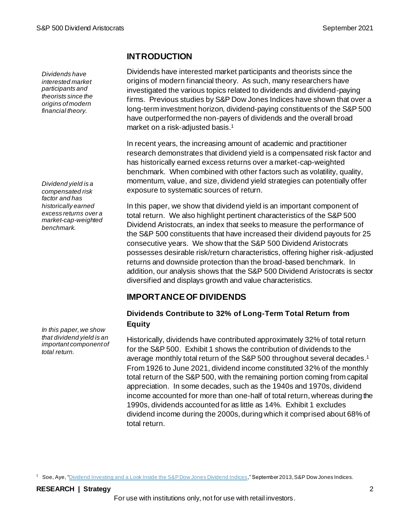*Dividends have interested market participants and theorists since the origins of modern financial theory.*

*Dividend yield is a compensated risk factor and has historically earned excess returns over a market-cap-weighted benchmark.*

*In this paper, we show that dividend yield is an important component of total return.*

## **INTRODUCTION**

Dividends have interested market participants and theorists since the origins of modern financial theory. As such, many researchers have investigated the various topics related to dividends and dividend-paying firms. Previous studies by S&P Dow Jones Indices have shown that over a long-term investment horizon, dividend-paying constituents of the S&P 500 have outperformed the non-payers of dividends and the overall broad market on a risk-adjusted basis. 1

In recent years, the increasing amount of academic and practitioner research demonstrates that dividend yield is a compensated risk factor and has historically earned excess returns over a market-cap-weighted benchmark. When combined with other factors such as volatility, quality, momentum, value, and size, dividend yield strategies can potentially offer exposure to systematic sources of return.

In this paper, we show that dividend yield is an important component of total return. We also highlight pertinent characteristics of the S&P 500 Dividend Aristocrats, an index that seeks to measure the performance of the S&P 500 constituents that have increased their dividend payouts for 25 consecutive years. We show that the S&P 500 Dividend Aristocrats possesses desirable risk/return characteristics, offering higher risk-adjusted returns and downside protection than the broad-based benchmark. In addition, our analysis shows that the S&P 500 Dividend Aristocrats is sector diversified and displays growth and value characteristics.

# **IMPORTANCE OF DIVIDENDS**

## **Dividends Contribute to 32% of Long-Term Total Return from Equity**

Historically, dividends have contributed approximately 32% of total return for the S&P 500. Exhibit 1 shows the contribution of dividends to the average monthly total return of the S&P 500 throughout several decades. 1 From 1926 to June 2021, dividend income constituted 32% of the monthly total return of the S&P 500, with the remaining portion coming from capital appreciation. In some decades, such as the 1940s and 1970s, dividend income accounted for more than one-half of total return, whereas during the 1990s, dividends accounted for as little as 14%. Exhibit 1 excludes dividend income during the 2000s, during which it comprised about 68% of total return.

<sup>1</sup> Soe, Aye, "<u>Dividend Investing and a Look Inside the S&P Dow Jones Dividend Indices</u>," September 2013, S&P Dow Jones Indices.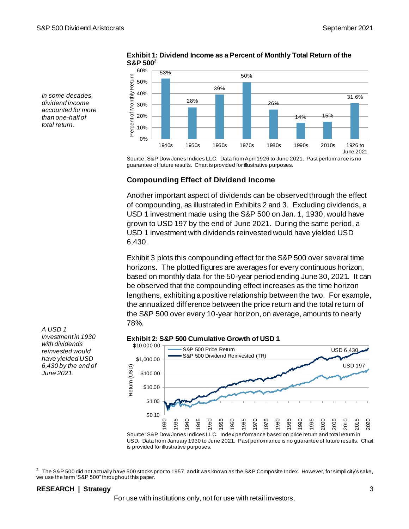*In some decades, dividend income accounted for more than one-half of total return.*



**Exhibit 1: Dividend Income as a Percent of Monthly Total Return of the S&P 500<sup>2</sup>**

Source: S&P Dow Jones Indices LLC. Data from April 1926 to June 2021. Past performance is no guarantee of future results. Chart is provided for illustrative purposes.

## **Compounding Effect of Dividend Income**

Another important aspect of dividends can be observed through the effect of compounding, as illustrated in Exhibits 2 and 3. Excluding dividends, a USD 1 investment made using the S&P 500 on Jan. 1, 1930, would have grown to USD 197 by the end of June 2021. During the same period, a USD 1 investment with dividends reinvested would have yielded USD 6,430.

Exhibit 3 plots this compounding effect for the S&P 500 over several time horizons. The plotted figures are averages for every continuous horizon, based on monthly data for the 50-year period ending June 30, 2021. It can be observed that the compounding effect increases as the time horizon lengthens, exhibiting a positive relationship between the two. For example, the annualized difference between the price return and the total return of the S&P 500 over every 10-year horizon, on average, amounts to nearly 78%.

#### **Exhibit 2: S&P 500 Cumulative Growth of USD 1**



USD. Data from January 1930 to June 2021. Past performance is no guarantee of future results. Chart is provided for illustrative purposes.

 $^2$  The S&P 500 did not actually have 500 stocks prior to 1957, and it was known as the S&P Composite Index. However, for simplicity's sake, we use the term "S&P 500" throughout this paper.

#### **RESEARCH | Strategy** 3

For use with institutions only, not for use with retail investors.

*A USD 1 investment in 1930 with dividends reinvested would have yielded USD 6,430 by the end of June 2021.*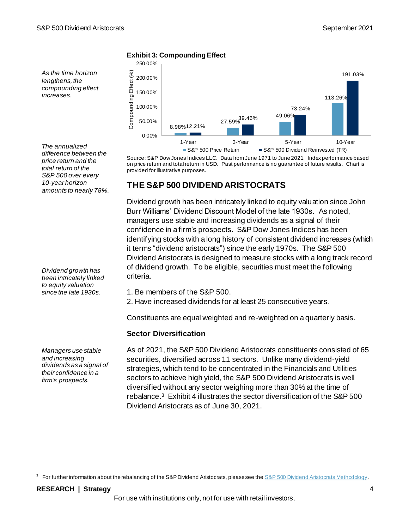*As the time horizon lengthens, the compounding effect increases.* 

*The annualized difference between the price return and the total return of the S&P 500 over every 10-year horizon amounts to nearly 78%.*

*Dividend growth has been intricately linked to equity valuation since the late 1930s.*

*Managers use stable and increasing dividends as a signal of their confidence in a firm's prospects.*

#### **Exhibit 3: Compounding Effect**



Source: S&P Dow Jones Indices LLC. Data from June 1971 to June 2021. Index performance based on price return and total return in USD. Past performance is no guarantee of future results. Chart is provided for illustrative purposes.

## **THE S&P 500 DIVIDEND ARISTOCRATS**

Dividend growth has been intricately linked to equity valuation since John Burr Williams' Dividend Discount Model of the late 1930s. As noted, managers use stable and increasing dividends as a signal of their confidence in a firm's prospects. S&P Dow Jones Indices has been identifying stocks with a long history of consistent dividend increases (which it terms "dividend aristocrats") since the early 1970s. The S&P 500 Dividend Aristocrats is designed to measure stocks with a long track record of dividend growth. To be eligible, securities must meet the following criteria.

1. Be members of the S&P 500.

2. Have increased dividends for at least 25 consecutive years.

Constituents are equal weighted and re-weighted on a quarterly basis.

## **Sector Diversification**

As of 2021, the S&P 500 Dividend Aristocrats constituents consisted of 65 securities, diversified across 11 sectors. Unlike many dividend-yield strategies, which tend to be concentrated in the Financials and Utilities sectors to achieve high yield, the S&P 500 Dividend Aristocrats is well diversified without any sector weighing more than 30% at the time of rebalance.<sup>3</sup> Exhibit 4 illustrates the sector diversification of the S&P 500 Dividend Aristocrats as of June 30, 2021.

<sup>3</sup> For further information about the rebalancing of the S&P Dividend Aristocrats, please see th[e S&P 500 Dividend Aristocrats Methodology](https://www.spglobal.com/spdji/en/documents/methodologies/methodology-sp-500-dividend-aristocrats.pdf?utm_source=pdf_research).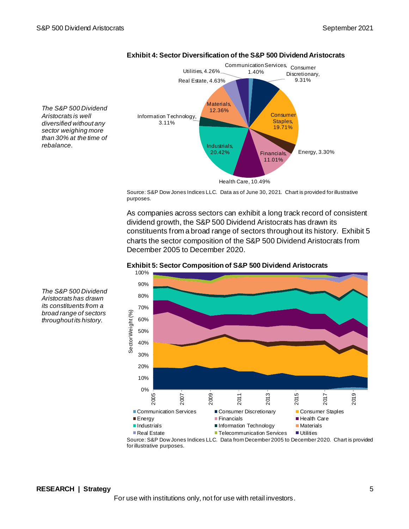

## **Exhibit 4: Sector Diversification of the S&P 500 Dividend Aristocrats**

*The S&P 500 Dividend Aristocrats is well diversified without any sector weighing more than 30% at the time of rebalance.*

> Source: S&P Dow Jones Indices LLC. Data as of June 30, 2021. Chart is provided for illustrative purposes.

As companies across sectors can exhibit a long track record of consistent dividend growth, the S&P 500 Dividend Aristocrats has drawn its constituents from a broad range of sectors throughout its history. Exhibit 5 charts the sector composition of the S&P 500 Dividend Aristocrats from December 2005 to December 2020.





*The S&P 500 Dividend Aristocrats has drawn its constituents from a broad range of sectors throughout its history.*

for illustrative purposes.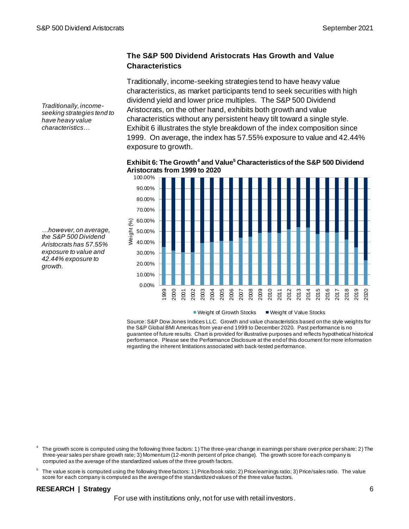*Traditionally, incomeseeking strategies tend to have heavy value characteristics…*

## **The S&P 500 Dividend Aristocrats Has Growth and Value Characteristics**

Traditionally, income-seeking strategies tend to have heavy value characteristics, as market participants tend to seek securities with high dividend yield and lower price multiples. The S&P 500 Dividend Aristocrats, on the other hand, exhibits both growth and value characteristics without any persistent heavy tilt toward a single style. Exhibit 6 illustrates the style breakdown of the index composition since 1999. On average, the index has 57.55% exposure to value and 42.44% exposure to growth.

**Exhibit 6: The Growth<sup>4</sup> and Value<sup>5</sup> Characteristics of the S&P 500 Dividend Aristocrats from 1999 to 2020**



*…however, on average, the S&P 500 Dividend Aristocrats has 57.55% exposure to value and 42.44% exposure to growth.*

Weight of Growth Stocks  $\Box$  Weight of Value Stocks

Source: S&P Dow Jones Indices LLC. Growth and value characteristics based on the style weights for the S&P Global BMI Americas from year-end 1999 to December 2020. Past performance is no guarantee of future results. Chart is provided for illustrative purposes and reflects hypothetical historical performance. Please see the Performance Disclosure at the end of this document for more information regarding the inherent limitations associated with back-tested performance.

4 The growth score is computed using the following three factors: 1) The three-year change in earnings per share over price per share; 2) The three-year sales per share growth rate; 3) Momentum (12-month percent of price change). The growth score for each company is computed as the average of the standardized values of the three growth factors.

5 The value score is computed using the following three factors: 1) Price/book ratio; 2) Price/earnings ratio; 3)Price/sales ratio. The value score for each company is computed as the average of the standardized values of the three value factors.

## **RESEARCH | Strategy** 6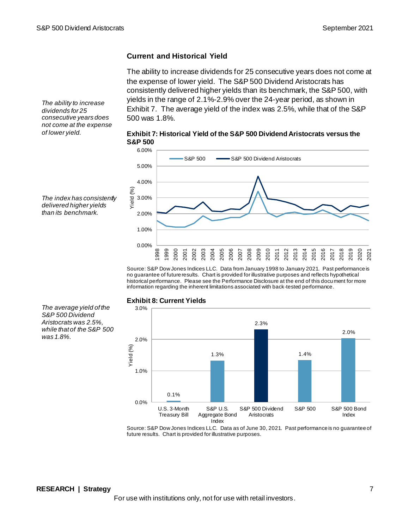## **Current and Historical Yield**

The ability to increase dividends for 25 consecutive years does not come at the expense of lower yield. The S&P 500 Dividend Aristocrats has consistently delivered higher yields than its benchmark, the S&P 500, with yields in the range of 2.1%-2.9% over the 24-year period, as shown in Exhibit 7. The average yield of the index was 2.5%, while that of the S&P 500 was 1.8%.

*The ability to increase dividends for 25 consecutive years does not come at the expense of lower yield.*

*The index has consistently delivered higher yields than its benchmark.* 





Source: S&P Dow Jones Indices LLC. Data from January 1998 to January 2021. Past performance is no guarantee of future results. Chart is provided for illustrative purposes and reflects hypothetical historical performance. Please see the Performance Disclosure at the end of this docu ment for more information regarding the inherent limitations associated with back-tested performance.

#### *The average yield of the S&P 500 Dividend Aristocrats was 2.5%, while that of the S&P 500 was 1.8%.*

#### **Exhibit 8: Current Yields**



Source: S&P Dow Jones Indices LLC. Data as of June 30, 2021. Past performance is no guarantee of future results. Chart is provided for illustrative purposes.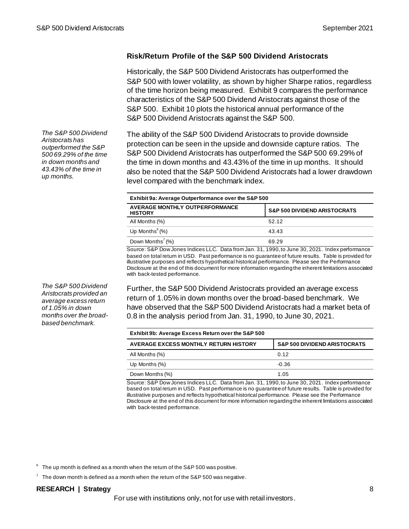### **Risk/Return Profile of the S&P 500 Dividend Aristocrats**

Historically, the S&P 500 Dividend Aristocrats has outperformed the S&P 500 with lower volatility, as shown by higher Sharpe ratios, regardless of the time horizon being measured. Exhibit 9 compares the performance characteristics of the S&P 500 Dividend Aristocrats against those of the S&P 500. Exhibit 10 plots the historical annual performance of the S&P 500 Dividend Aristocrats against the S&P 500.

The ability of the S&P 500 Dividend Aristocrats to provide downside protection can be seen in the upside and downside capture ratios. The S&P 500 Dividend Aristocrats has outperformed the S&P 500 69.29% of the time in down months and 43.43% of the time in up months. It should also be noted that the S&P 500 Dividend Aristocrats had a lower drawdown level compared with the benchmark index.

| Exhibit 9a: Average Outperformance over the S&P 500     |                                         |  |
|---------------------------------------------------------|-----------------------------------------|--|
| <b>AVERAGE MONTHLY OUTPERFORMANCE</b><br><b>HISTORY</b> | <b>S&amp;P 500 DIVIDEND ARISTOCRATS</b> |  |
| All Months (%)                                          | 52.12                                   |  |
| Up Months $^{6}$ (%)                                    | 43.43                                   |  |
| Down Months <sup>7</sup> $(%)$                          | 69.29                                   |  |

Source: S&P Dow Jones Indices LLC. Data from Jan. 31, 1990,to June 30, 2021. Index performance based on total return in USD. Past performance is no guarantee of future results. Table is provided for illustrative purposes and reflects hypothetical historical performance. Please see the Performance Disclosure at the end of this document for more information regarding the inherent limitations associated with back-tested performance.

Further, the S&P 500 Dividend Aristocrats provided an average excess return of 1.05% in down months over the broad-based benchmark. We have observed that the S&P 500 Dividend Aristocrats had a market beta of 0.8 in the analysis period from Jan. 31, 1990, to June 30, 2021.

| Exhibit 9b: Average Excess Return over the S&P 500 |                                         |  |
|----------------------------------------------------|-----------------------------------------|--|
| AVERAGE EXCESS MONTHLY RETURN HISTORY              | <b>S&amp;P 500 DIVIDEND ARISTOCRATS</b> |  |
| All Months (%)                                     | 0.12                                    |  |
| Up Months $(\%)$                                   | $-0.36$                                 |  |
| Down Months (%)                                    | 1.05                                    |  |

Source: S&P Dow Jones Indices LLC. Data from Jan. 31, 1990,to June 30, 2021. Index performance based on total return in USD. Past performance is no guarantee of future results. Table is provided for illustrative purposes and reflects hypothetical historical performance. Please see the Performance Disclosure at the end of this document for more information regarding the inherent limitations associated with back-tested performance.

 $^6$  The up month is defined as a month when the return of the S&P 500 was positive.

 $7$  The down month is defined as a month when the return of the S&P 500 was negative.

#### **RESEARCH | Strategy** 8

For use with institutions only, not for use with retail investors.

*The S&P 500 Dividend Aristocrats has outperformed the S&P 500 69.29% of the time in down months and 43.43% of the time in up months.*

*The S&P 500 Dividend Aristocrats provided an average excess return of 1.05% in down months over the broadbased benchmark.*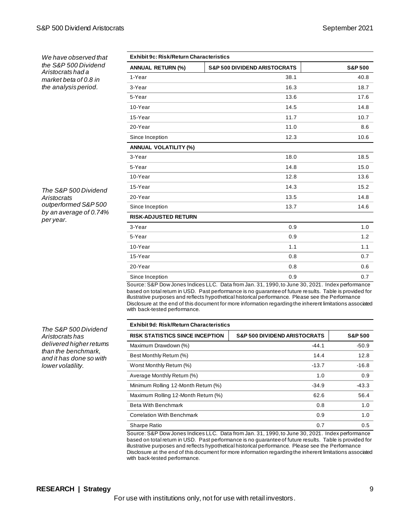*We have observed that the S&P 500 Dividend Aristocrats had a market beta of 0.8 in the analysis period.*

*The S&P 500 Dividend Aristocrats outperformed S&P 500 by an average of 0.74% per year.*

| <b>Exhibit 9c: Risk/Return Characteristics</b> |                                         |                    |
|------------------------------------------------|-----------------------------------------|--------------------|
| <b>ANNUAL RETURN (%)</b>                       | <b>S&amp;P 500 DIVIDEND ARISTOCRATS</b> | <b>S&amp;P 500</b> |
| 1-Year                                         | 38.1                                    | 40.8               |
| 3-Year                                         | 16.3                                    | 18.7               |
| 5-Year                                         | 13.6                                    | 17.6               |
| 10-Year                                        | 14.5                                    | 14.8               |
| 15-Year                                        | 11.7                                    | 10.7               |
| 20-Year                                        | 11.0                                    | 8.6                |
| Since Inception                                | 12.3                                    | 10.6               |
| <b>ANNUAL VOLATILITY (%)</b>                   |                                         |                    |
| 3-Year                                         | 18.0                                    | 18.5               |
| 5-Year                                         | 14.8                                    | 15.0               |
| 10-Year                                        | 12.8                                    | 13.6               |
| 15-Year                                        | 14.3                                    | 15.2               |
| 20-Year                                        | 13.5                                    | 14.8               |
| Since Inception                                | 13.7                                    | 14.6               |
| <b>RISK-ADJUSTED RETURN</b>                    |                                         |                    |
| 3-Year                                         | 0.9                                     | 1.0                |
| 5-Year                                         | 0.9                                     | 1.2                |
| 10-Year                                        | 1.1                                     | 1.1                |
| 15-Year                                        | 0.8                                     | 0.7                |
| 20-Year                                        | 0.8                                     | 0.6                |
| Since Inception                                | 0.9                                     | 0.7                |

Source: S&P Dow Jones Indices LLC. Data from Jan. 31, 1990,to June 30, 2021. Index performance based on total return in USD. Past performance is no guarantee of future results. Table is provided for illustrative purposes and reflects hypothetical historical performance. Please see the Performance Disclosure at the end of this document for more information regarding the inherent limitations associated with back-tested performance.

#### **Exhibit 9d: Risk/Return Characteristics**

| EXIIIDIL 30. NISNINELUI II GIIALGI ISUUS |                                         |                    |  |  |
|------------------------------------------|-----------------------------------------|--------------------|--|--|
| <b>RISK STATISTICS SINCE INCEPTION</b>   | <b>S&amp;P 500 DIVIDEND ARISTOCRATS</b> | <b>S&amp;P 500</b> |  |  |
| Maximum Drawdown (%)                     | $-44.1$                                 | $-50.9$            |  |  |
| Best Monthly Return (%)                  | 14.4                                    | 12.8               |  |  |
| Worst Monthly Return (%)                 | $-13.7$                                 | $-16.8$            |  |  |
| Average Monthly Return (%)               | 1.0                                     | 0.9                |  |  |
| Minimum Rolling 12-Month Return (%)      | $-34.9$                                 | $-43.3$            |  |  |
| Maximum Rolling 12-Month Return (%)      | 62.6                                    | 56.4               |  |  |
| <b>Beta With Benchmark</b>               | 0.8                                     | 1.0                |  |  |
| <b>Correlation With Benchmark</b>        | 0.9                                     | 1.0                |  |  |
| Sharpe Ratio                             | 0.7                                     | 0.5                |  |  |

Source: S&P Dow Jones Indices LLC. Data from Jan. 31, 1990,to June 30, 2021. Index performance based on total return in USD. Past performance is no guarantee of future results. Table is provided for illustrative purposes and reflects hypothetical historical performance. Please see the Performance Disclosure at the end of this document for more information regarding the inherent limitations associated with back-tested performance.

*The S&P 500 Dividend Aristocrats has delivered higher returns than the benchmark, and it has done so with lower volatility.*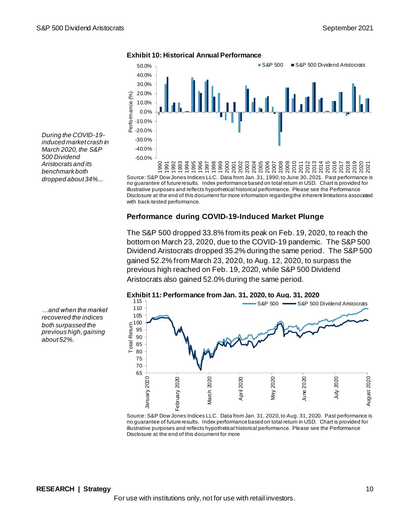

Source: S&P Dow Jones Indices LLC. Data from Jan. 31, 1990,to June 30, 2021. Past performance is no guarantee of future results. Index performance based on total return in USD. Chart is provided for illustrative purposes and reflects hypothetical historical performance. Please see the Performance Disclosure at the end of this document for more information regarding the inherent limitations associated with back-tested performance.  $\overline{20}$ 

### **Performance during COVID-19-Induced Market Plunge**

The S&P 500 dropped 33.8% from its peak on Feb. 19, 2020, to reach the bottom on March 23, 2020, due to the COVID-19 pandemic. The S&P 500 Dividend Aristocrats dropped 35.2% during the same period. The S&P 500 gained 52.2% from March 23, 2020, to Aug. 12, 2020, to surpass the previous high reached on Feb. 19, 2020, while S&P 500 Dividend Aristocrats also gained 52.0% during the same period.



Source: S&P Dow Jones Indices LLC. Data from Jan. 31, 2020,to Aug. 31, 2020. Past performance is no guarantee of future results. Index performance based on total return in USD. Chart is provided for illustrative purposes and reflects hypothetical historical performance. Please see the Performance Disclosure at the end of this document for more

*During the COVID-19 induced market crash in March 2020, the S&P 500 Dividend Aristocrats and its benchmark both dropped about 34%...*

*…and when the market recovered the indices both surpassed the previous high, gaining about 52%.*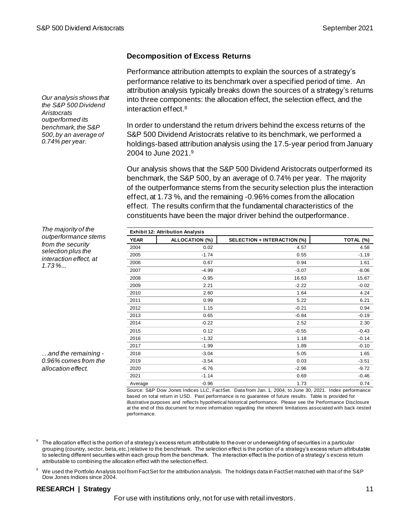#### **Decomposition of Excess Returns**

Performance attribution attempts to explain the sources of a strategy's performance relative to its benchmark over a specified period of time. An attribution analysis typically breaks down the sources of a strategy's returns into three components: the allocation effect, the selection effect, and the interaction effect. 8

In order to understand the return drivers behind the excess returns of the S&P 500 Dividend Aristocrats relative to its benchmark, we performed a holdings-based attribution analysis using the 17.5-year period from January 2004 to June 2021. 9

Our analysis shows that the S&P 500 Dividend Aristocrats outperformed its benchmark, the S&P 500, by an average of 0.74% per year. The majority of the outperformance stems from the security selection plus the interaction effect, at 1.73 %, and the remaining -0.96% comes from the allocation effect. The results confirm that the fundamental characteristics of the constituents have been the major driver behind the outperformance.

| <b>Exhibit 12: Attribution Analysis</b> |                       |                             |           |
|-----------------------------------------|-----------------------|-----------------------------|-----------|
| <b>YEAR</b>                             | <b>ALLOCATION (%)</b> | SELECTION + INTERACTION (%) | TOTAL (%) |
| 2004                                    | 0.02                  | 4.57                        | 4.58      |
| 2005                                    | $-1.74$               | 0.55                        | $-1.19$   |
| 2006                                    | 0.67                  | 0.94                        | 1.61      |
| 2007                                    | $-4.99$               | $-3.07$                     | $-8.06$   |
| 2008                                    | $-0.95$               | 16.63                       | 15.67     |
| 2009                                    | 2.21                  | $-2.22$                     | $-0.02$   |
| 2010                                    | 2.60                  | 1.64                        | 4.24      |
| 2011                                    | 0.99                  | 5.22                        | 6.21      |
| 2012                                    | 1.15                  | $-0.21$                     | 0.94      |
| 2013                                    | 0.65                  | $-0.84$                     | $-0.19$   |
| 2014                                    | $-0.22$               | 2.52                        | 2.30      |
| 2015                                    | 0.12                  | $-0.55$                     | $-0.43$   |
| 2016                                    | $-1.32$               | 1.18                        | $-0.14$   |
| 2017                                    | $-1.99$               | 1.89                        | $-0.10$   |
| 2018                                    | $-3.04$               | 5.05                        | 1.65      |
| 2019                                    | $-3.54$               | 0.03                        | $-3.51$   |
| 2020                                    | $-6.76$               | $-2.96$                     | $-9.72$   |
| 2021                                    | $-1.14$               | 0.69                        | $-0.46$   |
| Average                                 | $-0.96$               | 1.73                        | 0.74      |

Source: S&P Dow Jones Indices LLC, FactSet. Data from Jan. 1, 2004, to June 30, 2021. Index performance based on total return in USD. Past performance is no guarantee of future results. Table is provided for illustrative purposes and reflects hypothetical historical performance. Please see the Performance Disclosure at the end of this document for more information regarding the inherent limitations associated with back -tested performance.

 $^8$  The allocation effect is the portion of a strategy's excess return attributable to the over or underweighting of securities in a particular grouping (country, sector, beta, etc.) relative to the benchmark. The selection effect is the portion of a strategy's excess return attributable to selecting different securities within each group from the benchmark. The interaction effect is the portion of a strategy's excess return attributable to combining the allocation effect with the selection effect.

<sup>9</sup> We used the Portfolio Analysis tool from FactSet for the attribution analysis. The holdings data in FactSet matched with that of the S&P Dow Jones Indices since 2004.

#### **RESEARCH | Strategy** 11

For use with institutions only, not for use with retail investors.

*Our analysis shows that the S&P 500 Dividend Aristocrats outperformed its benchmark, the S&P 500, by an average of 0.74% per year.*

*from the security selection plus the interaction effect, at 1.73 %...*

*The majority of the outperformance stems* 

*…and the remaining - 0.96% comes from the allocation effect.*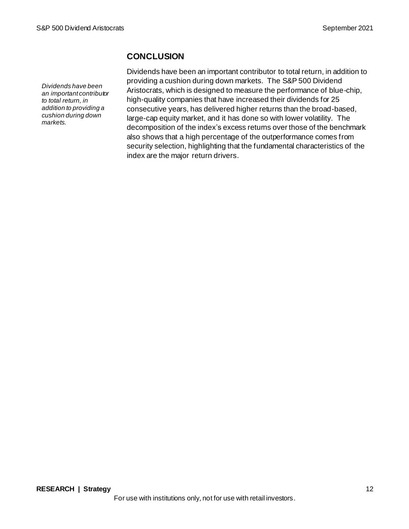*Dividends have been an important contributor to total return, in addition to providing a cushion during down markets.*

# **CONCLUSION**

Dividends have been an important contributor to total return, in addition to providing a cushion during down markets. The S&P 500 Dividend Aristocrats, which is designed to measure the performance of blue-chip, high-quality companies that have increased their dividends for 25 consecutive years, has delivered higher returns than the broad-based, large-cap equity market, and it has done so with lower volatility. The decomposition of the index's excess returns over those of the benchmark also shows that a high percentage of the outperformance comes from security selection, highlighting that the fundamental characteristics of the index are the major return drivers.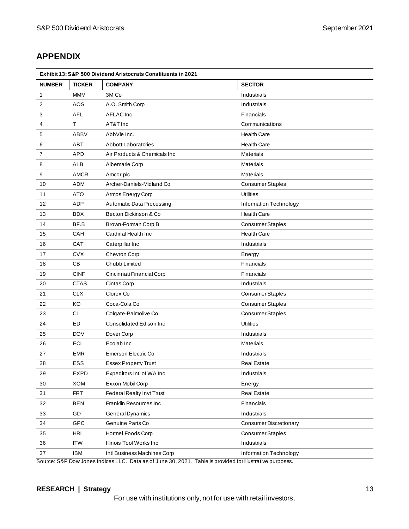# **APPENDIX**

| Exhibit 13: S&P 500 Dividend Aristocrats Constituents in 2021 |               |                                  |                               |
|---------------------------------------------------------------|---------------|----------------------------------|-------------------------------|
| <b>NUMBER</b>                                                 | <b>TICKER</b> | <b>COMPANY</b>                   | <b>SECTOR</b>                 |
| $\mathbf{1}$                                                  | <b>MMM</b>    | 3M Co                            | Industrials                   |
| 2                                                             | <b>AOS</b>    | A.O. Smith Corp                  | Industrials                   |
| 3                                                             | <b>AFL</b>    | <b>AFLAC</b> Inc                 | Financials                    |
| 4                                                             | T.            | AT&T Inc                         | Communications                |
| 5                                                             | <b>ABBV</b>   | AbbVie Inc.                      | <b>Health Care</b>            |
| 6                                                             | <b>ABT</b>    | <b>Abbott Laboratories</b>       | <b>Health Care</b>            |
| 7                                                             | <b>APD</b>    | Air Products & Chemicals Inc.    | <b>Materials</b>              |
| 8                                                             | ALB           | Albemarle Corp                   | <b>Materials</b>              |
| 9                                                             | <b>AMCR</b>   | Amcor plc                        | <b>Materials</b>              |
| 10                                                            | ADM           | Archer-Daniels-Midland Co        | <b>Consumer Staples</b>       |
| 11                                                            | <b>ATO</b>    | Atmos Energy Corp                | <b>Utilities</b>              |
| 12                                                            | ADP           | <b>Automatic Data Processing</b> | Information Technology        |
| 13                                                            | <b>BDX</b>    | Becton Dickinson & Co            | <b>Health Care</b>            |
| 14                                                            | BF.B          | Brown-Forman Corp B              | <b>Consumer Staples</b>       |
| 15                                                            | CAH           | Cardinal Health Inc              | <b>Health Care</b>            |
| 16                                                            | CAT           | Caterpillar Inc                  | Industrials                   |
| 17                                                            | <b>CVX</b>    | Chevron Corp                     | Energy                        |
| 18                                                            | CB            | Chubb Limited                    | <b>Financials</b>             |
| 19                                                            | <b>CINF</b>   | Cincinnati Financial Corp        | Financials                    |
| 20                                                            | <b>CTAS</b>   | Cintas Corp                      | Industrials                   |
| 21                                                            | <b>CLX</b>    | Clorox Co                        | <b>Consumer Staples</b>       |
| 22                                                            | KO            | Coca-Cola Co                     | <b>Consumer Staples</b>       |
| 23                                                            | <b>CL</b>     | Colgate-Palmolive Co             | <b>Consumer Staples</b>       |
| 24                                                            | ED            | <b>Consolidated Edison Inc.</b>  | <b>Utilities</b>              |
| 25                                                            | <b>DOV</b>    | Dover Corp                       | Industrials                   |
| 26                                                            | <b>ECL</b>    | Ecolab Inc.                      | <b>Materials</b>              |
| 27                                                            | <b>EMR</b>    | Emerson Electric Co              | Industrials                   |
| 28                                                            | <b>ESS</b>    | <b>Essex Property Trust</b>      | <b>Real Estate</b>            |
| 29                                                            | EXPD          | Expeditors Intl of WA Inc        | Industrials                   |
| 30                                                            | <b>XOM</b>    | Exxon Mobil Corp                 | Energy                        |
| 31                                                            | <b>FRT</b>    | Federal Realty Invt Trust        | <b>Real Estate</b>            |
| 32                                                            | <b>BEN</b>    | Franklin Resources Inc           | Financials                    |
| 33                                                            | GD            | General Dynamics                 | Industrials                   |
| 34                                                            | GPC           | Genuine Parts Co                 | <b>Consumer Discretionary</b> |
| 35                                                            | <b>HRL</b>    | Hormel Foods Corp                | Consumer Staples              |
| 36                                                            | <b>ITW</b>    | Illinois Tool Works Inc          | Industrials                   |
| 37                                                            | <b>IBM</b>    | Intl Business Machines Corp      | Information Technology        |

Source: S&P Dow Jones Indices LLC. Data as of June 30, 2021. Table is provided for illustrative purposes.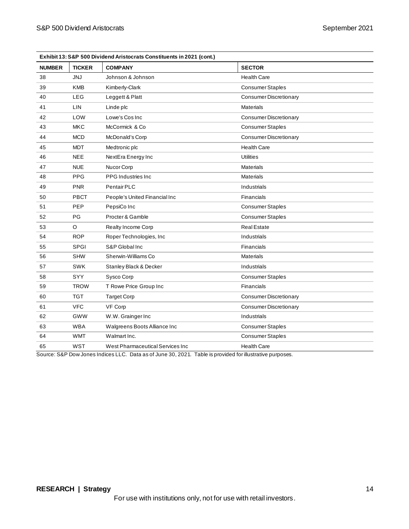| Exhibit 13: S&P 500 Dividend Aristocrats Constituents in 2021 (cont.) |               |                                                                                                                                         |                               |
|-----------------------------------------------------------------------|---------------|-----------------------------------------------------------------------------------------------------------------------------------------|-------------------------------|
| <b>NUMBER</b>                                                         | <b>TICKER</b> | <b>COMPANY</b>                                                                                                                          | <b>SECTOR</b>                 |
| 38                                                                    | <b>JNJ</b>    | Johnson & Johnson                                                                                                                       | <b>Health Care</b>            |
| 39                                                                    | <b>KMB</b>    | Kimberly-Clark                                                                                                                          | <b>Consumer Staples</b>       |
| 40                                                                    | <b>LEG</b>    | Leggett & Platt                                                                                                                         | Consumer Discretionary        |
| 41                                                                    | LIN           | Linde plc                                                                                                                               | <b>Materials</b>              |
| 42                                                                    | LOW           | Lowe's Cos Inc                                                                                                                          | <b>Consumer Discretionary</b> |
| 43                                                                    | MKC           | McCormick & Co                                                                                                                          | <b>Consumer Staples</b>       |
| 44                                                                    | <b>MCD</b>    | McDonald's Corp                                                                                                                         | <b>Consumer Discretionary</b> |
| 45                                                                    | <b>MDT</b>    | Medtronic plc                                                                                                                           | <b>Health Care</b>            |
| 46                                                                    | <b>NEE</b>    | NextEra Energy Inc                                                                                                                      | <b>Utilities</b>              |
| 47                                                                    | <b>NUE</b>    | Nucor Corp                                                                                                                              | <b>Materials</b>              |
| 48                                                                    | <b>PPG</b>    | <b>PPG</b> Industries Inc.                                                                                                              | <b>Materials</b>              |
| 49                                                                    | <b>PNR</b>    | Pentair PLC                                                                                                                             | Industrials                   |
| 50                                                                    | PBCT          | People's United Financial Inc                                                                                                           | Financials                    |
| 51                                                                    | <b>PEP</b>    | PepsiCo Inc                                                                                                                             | <b>Consumer Staples</b>       |
| 52                                                                    | PG            | Procter & Gamble                                                                                                                        | <b>Consumer Staples</b>       |
| 53                                                                    | O             | Realty Income Corp                                                                                                                      | <b>Real Estate</b>            |
| 54                                                                    | <b>ROP</b>    | Roper Technologies, Inc.                                                                                                                | Industrials                   |
| 55                                                                    | <b>SPGI</b>   | S&P Global Inc                                                                                                                          | Financials                    |
| 56                                                                    | <b>SHW</b>    | Sherwin-Williams Co                                                                                                                     | <b>Materials</b>              |
| 57                                                                    | SWK           | Stanley Black & Decker                                                                                                                  | Industrials                   |
| 58                                                                    | SYY           | Sysco Corp                                                                                                                              | <b>Consumer Staples</b>       |
| 59                                                                    | <b>TROW</b>   | T Rowe Price Group Inc                                                                                                                  | <b>Financials</b>             |
| 60                                                                    | <b>TGT</b>    | <b>Target Corp</b>                                                                                                                      | Consumer Discretionary        |
| 61                                                                    | <b>VFC</b>    | VF Corp                                                                                                                                 | <b>Consumer Discretionary</b> |
| 62                                                                    | GWW           | W.W. Grainger Inc                                                                                                                       | Industrials                   |
| 63                                                                    | <b>WBA</b>    | Walgreens Boots Alliance Inc                                                                                                            | <b>Consumer Staples</b>       |
| 64                                                                    | <b>WMT</b>    | Walmart Inc.                                                                                                                            | <b>Consumer Staples</b>       |
| 65                                                                    | <b>WST</b>    | West Pharmaceutical Services Inc<br>Course: CRD Deur Janes Indiasa LLC Data as of June 20, 2024<br>Toble in provided for illustrative p | <b>Health Care</b>            |

Source: S&P Dow Jones Indices LLC. Data as of June 30, 2021. Table is provided for illustrative purposes.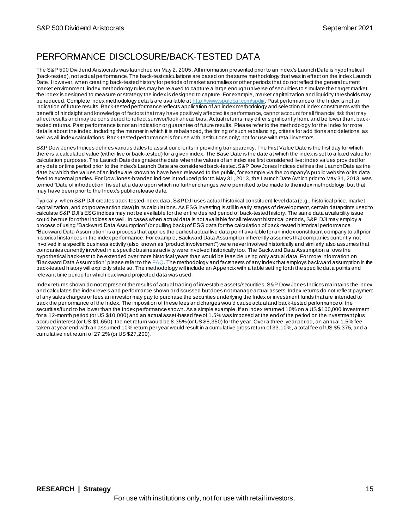# PERFORMANCE DISCLOSURE/BACK-TESTED DATA

The S&P 500 Dividend Aristocrats was launched on May 2, 2005. All information presented prior to an index's Launch Date is hypothetical (back-tested), not actual performance. The back-test calculations are based on the same methodology that was in effect on the index Launch Date. However, when creating back-tested history for periods of market anomalies or other periods that do not reflect the general current market environment, index methodology rules may be relaxed to capture a large enough universe of securities to simulate the t arget market the index is designed to measure or strategy the index is designed to capture. For example, market capitalization and liquidity thresholds may be reduced. Complete index methodology details are available a[t http://www.spglobal.com/spdji/](http://www.spglobal.com/spdji/en/?utm_source=pdf_research). Past performance of the Index is not an indication of future results. Back-tested performance reflects application of an index methodology and selection of index constituents with the benefit of hindsight and knowledge of factors that may have positively affected its performance, cannot account for all financial risk that may affect results and may be considered to reflect survivor/look ahead bias. Actual returns may differ significantly from, and be lower than, backtested returns. Past performance is not an indication or guarantee of future results. Please refer to the methodology for the Index for more details about the index, including the manner in which it is rebalanced, the timing of such rebalancing, criteria for add itions and deletions, as well as all index calculations. Back-tested performance is for use with institutions only; not for use with retail investors.

S&P Dow Jones Indices defines various dates to assist our clients in providing transparency. The First Value Date is the first day for which there is a calculated value (either live or back-tested) for a given index. The Base Date is the date at which the index is set to a fixed value for calculation purposes. The Launch Date designates the date when the values of an index are first considered live: index values provided for any date or time period prior to the index's Launch Date are considered back-tested. S&P Dow Jones Indices defines the Launch Date as the date by which the values of an index are known to have been released to the public, for example via the company's public website or its data feed to external parties. For Dow Jones-branded indices introduced prior to May 31, 2013, the Launch Date (which prior to May 31, 2013, was termed "Date of introduction") is set at a date upon which no further changes were permitted to be made to the index methodology, but that may have been prior to the Index's public release date.

Typically, when S&P DJI creates back-tested index data, S&P DJI uses actual historical constituent-level data (e.g., historical price, market capitalization, and corporate action data) in its calculations. As ESG investing is still in early stages of development, certain datapoints used to calculate S&P DJI's ESG indices may not be available for the entire desired period of back-tested history. The same data availability issue could be true for other indices as well. In cases when actual data is not available for all relevant historical periods, S&P DJI may employ a process of using "Backward Data Assumption" (or pulling back) of ESG data for the calculation of back-tested historical performance. "Backward Data Assumption" is a process that applies the earliest actual live data point available for an index constituent company to all prior historical instances in the index performance. For example, Backward Data Assumption inherently assumes that companies currently not involved in a specific business activity (also known as "product involvement") were never involved historically and similarly also assumes that companies currently involved in a specific business activity were involved historically too. The Backward Data Assumption allows the hypothetical back-test to be extended over more historical years than would be feasible using only actual data. For more information on "Backward Data Assumption" please refer to the  $FAQ$ . The methodology and factsheets of any index that employs backward assumption in the back-tested history will explicitly state so. The methodology will include an Appendix with a table setting forth the specific dat a points and relevant time period for which backward projected data was used.

Index returns shown do not represent the results of actual trading of investable assets/securities. S&P Dow Jones Indices maintains the index and calculates the index levels and performance shown or discussed but does not manage actual assets. Index returns do not reflect payment of any sales charges or fees an investor may pay to purchase the securities underlying the Index or investment funds that are intended to track the performance of the Index. The imposition of these fees and charges would cause actual and back-tested performance of the securities/fund to be lower than the Index performance shown. As a simple example, if an index returned 10% on a US \$100,000 investment for a 12-month period (or US \$10,000) and an actual asset-based fee of 1.5% was imposed at the end of the period on the investment plus accrued interest (or US \$1,650), the net return would be 8.35% (or US \$8,350) for the year. Over a three -year period, an annual 1.5% fee taken at year end with an assumed 10% return per year would result in a cumulative gross return of 33.10%, a total fee of US \$5,375, and a cumulative net return of 27.2% (or US \$27,200).